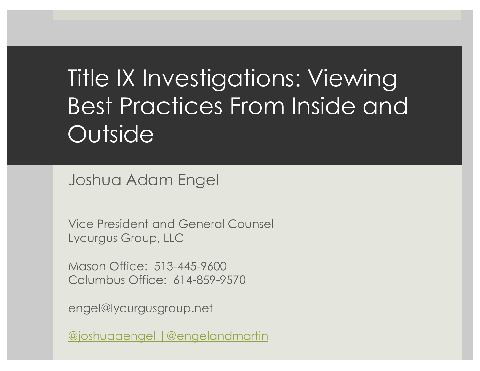# Title IX Investigations: Viewing Best Practices From Inside and **Outside**

Joshua Adam Engel

Vice President and General Counsel Lycurgus Group, LLC

Mason Office: 513-445-9600 Columbus Office: 614-859-9570

engel@lycurgusgroup.net

@joshuaaengel |@engelandmartin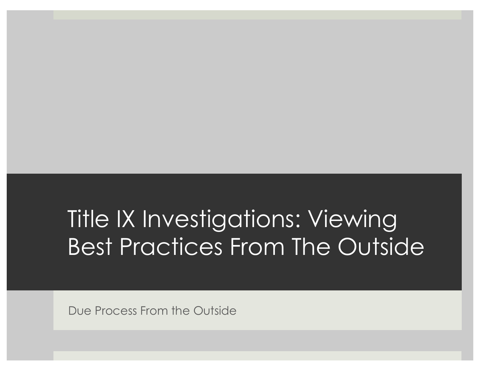# Title IX Investigations: Viewing Best Practices From The Outside

Due Process From the Outside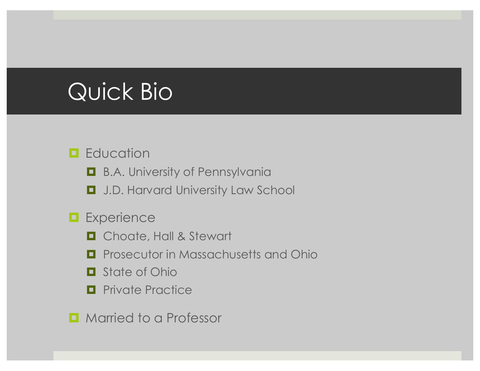### Quick Bio

#### $\blacksquare$  Education

**□** B.A. University of Pennsylvania

 $\Box$  J.D. Harvard University Law School

#### **Experience**

- $\Box$  Choate, Hall & Stewart
- $\blacksquare$  Prosecutor in Massachusetts and Ohio
- $\Box$  State of Ohio
- $\blacksquare$  Private Practice

 $\blacksquare$  Married to a Professor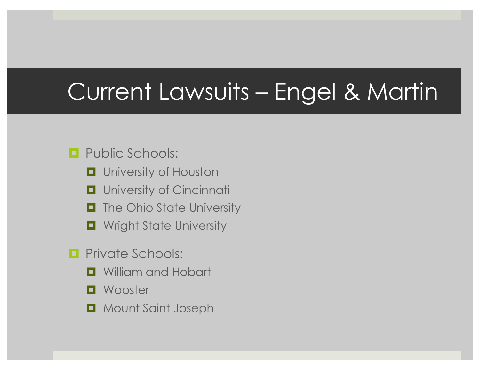## Current Lawsuits – Engel & Martin

#### $\Box$  Public Schools:

- $\blacksquare$  University of Houston
- $\blacksquare$  University of Cincinnati
- $\blacksquare$  The Ohio State University
- $\blacksquare$  Wright State University
- $\blacksquare$  Private Schools:
	- $\Box$  William and Hobart
	- $\blacksquare$  Wooster
	- $\Box$  Mount Saint Joseph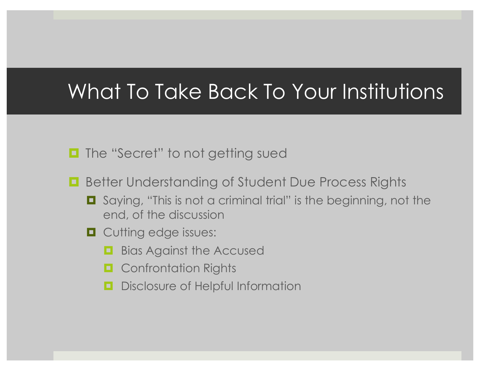#### What To Take Back To Your Institutions

- **□** The "Secret" to not getting sued
- Better Understanding of Student Due Process Rights
	- Saying, "This is not a criminal trial" is the beginning, not the end, of the discussion
	- $\Box$  Cutting edge issues:
		- $\blacksquare$  Bias Against the Accused
		- $\blacksquare$  Confrontation Rights
		- **<u><b>u**</u> Disclosure of Helpful Information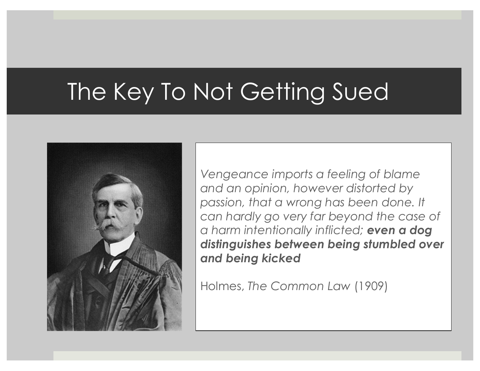# The Key To Not Getting Sued



*Vengeance imports a feeling of blame and an opinion, however distorted by passion, that a wrong has been done. It can hardly go very far beyond the case of a harm intentionally inflicted; even a dog distinguishes between being stumbled over and being kicked*

Holmes, *The Common Law* (1909)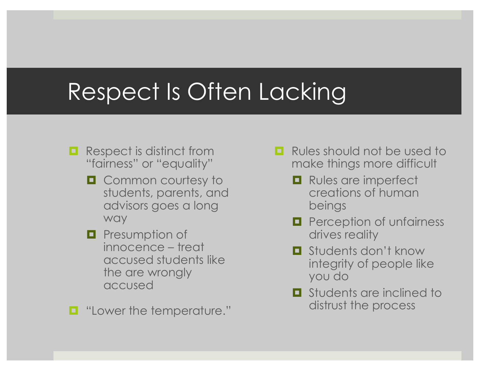### Respect Is Often Lacking

- $\blacksquare$  Respect is distinct from "fairness" or "equality"
	- $\Box$  Common courtesy to students, parents, and advisors goes a long way
	- $\blacksquare$  Presumption of innocence – treat accused students like the are wrongly accused

■ "Lower the temperature."

- $\Box$  Rules should not be used to make things more difficult
	- $\blacksquare$  Rules are imperfect creations of human beings
	- $\blacksquare$  Perception of unfairness drives reality
	- ¤ Students don't know integrity of people like you do
	- $\Box$  Students are inclined to distrust the process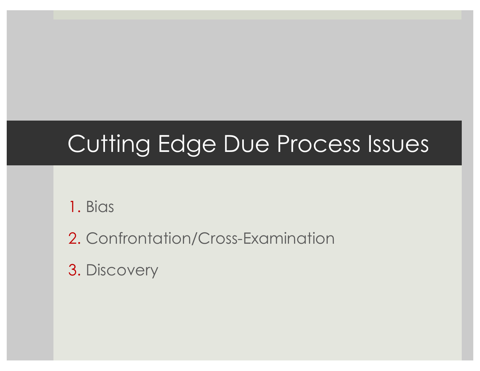# Cutting Edge Due Process Issues

1. Bias

2. Confrontation/Cross-Examination

3. Discovery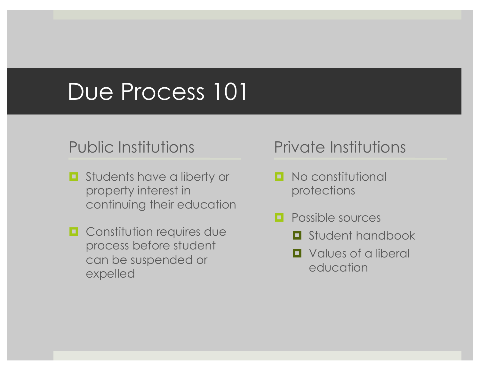#### Due Process 101

#### Public Institutions

- $\blacksquare$  Students have a liberty or property interest in continuing their education
- $\Box$  Constitution requires due process before student can be suspended or expelled

#### Private Institutions

- $\blacksquare$  No constitutional protections
- $\Box$  Possible sources
	- $\blacksquare$  Student handbook
	- $\Box$  Values of a liberal education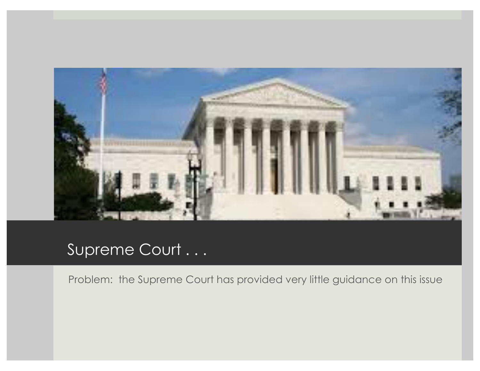

#### Supreme Court . . .

Problem: the Supreme Court has provided very little guidance on this issue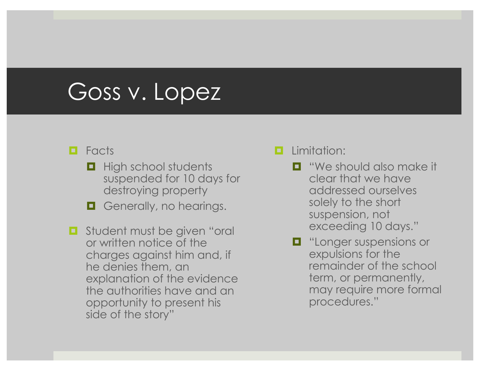#### Goss v. Lopez

#### ¤ Facts

- $\blacksquare$  High school students suspended for 10 days for destroying property
- $\Box$  Generally, no hearings.
- $\blacksquare$  Student must be given "oral or written notice of the charges against him and, if he denies them, an explanation of the evidence the authorities have and an opportunity to present his side of the story"

#### $\blacksquare$  Limitation:

- $\blacksquare$  "We should also make it clear that we have addressed ourselves solely to the short suspension, not exceeding 10 days."
- $\blacksquare$  "Longer suspensions or expulsions for the remainder of the school term, or permanently, may require more formal procedures."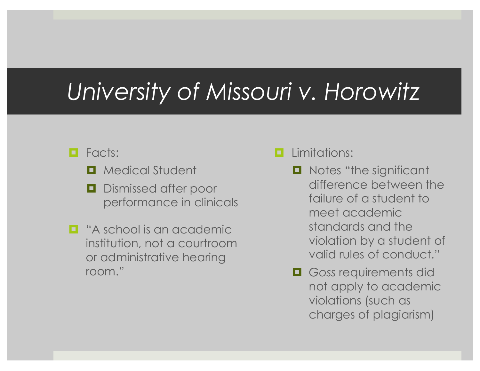### *University of Missouri v. Horowitz*

#### $\blacksquare$  Facts:

- $\blacksquare$  Medical Student
- $\blacksquare$  Dismissed after poor performance in clinicals
- $\Box$  "A school is an academic institution, not a courtroom or administrative hearing room."

#### $\blacksquare$  Limitations:

- Notes "the significant difference between the failure of a student to meet academic standards and the violation by a student of valid rules of conduct."
- $\Box$  Goss requirements did not apply to academic violations (such as charges of plagiarism)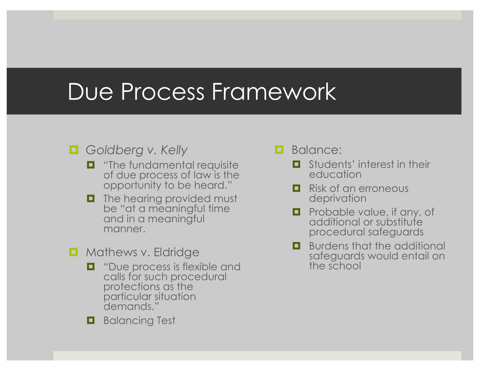#### Due Process Framework

#### ¤ *Goldberg v. Kelly*

- $\blacksquare$  "The fundamental requisite of due process of law is the opportunity to be heard."
- $\blacksquare$  The hearing provided must be "at a meaningful time and in a meaningful manner.
- $\blacksquare$  Mathews v. Eldridge
	- $\Box$  "Due process is flexible and calls for such procedural protections as the particular situation demands."
	- $\blacksquare$  Balancing Test

#### $\blacksquare$  Balance:

- $\blacksquare$  Students' interest in their education
- $\blacksquare$  Risk of an erroneous deprivation
- $\blacksquare$  Probable value, if any, of additional or substitute procedural safeguards
- $\Box$  Burdens that the additional safeguards would entail on the school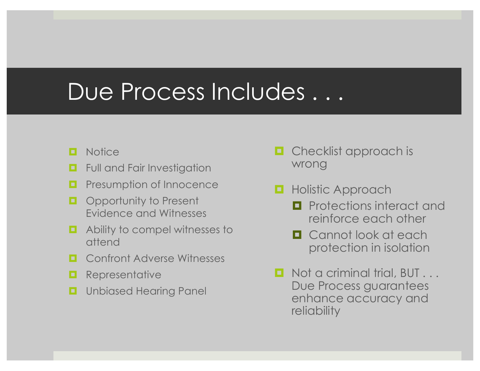#### Due Process Includes ...

- $\blacksquare$  Notice
- $\blacksquare$  Full and Fair Investigation
- $\blacksquare$  Presumption of Innocence
- $\Box$  Opportunity to Present Evidence and Witnesses
- $\blacksquare$  Ability to compel witnesses to attend
- $\Box$  Confront Adverse Witnesses
- $\blacksquare$  Representative
- $\Box$  Unbiased Hearing Panel
- $\blacksquare$  Checklist approach is wrong
- $\blacksquare$  **Holistic Approach** 
	- $\blacksquare$  Protections interact and reinforce each other
	- $\Box$  Cannot look at each protection in isolation
- $\blacksquare$  Not a criminal trial, BUT . . . Due Process guarantees enhance accuracy and reliability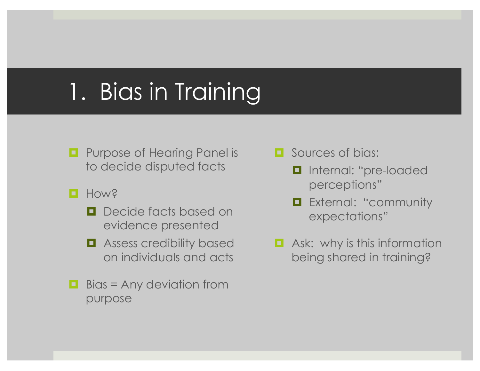### 1. Bias in Training

- $\blacksquare$  Purpose of Hearing Panel is to decide disputed facts
- **Q** Hows
	- $\blacksquare$  Decide facts based on evidence presented
	- $\blacksquare$  Assess credibility based on individuals and acts
- $\blacksquare$  Bias = Any deviation from purpose
- $\Box$  Sources of bias:
	- $\blacksquare$  Internal: "pre-loaded perceptions"
	- $\blacksquare$  External: "community expectations"
- $\blacksquare$  Ask: why is this information being shared in training?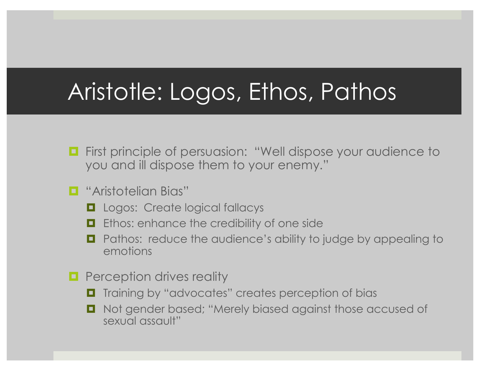### Aristotle: Logos, Ethos, Pathos

- $\blacksquare$  First principle of persuasion: "Well dispose your audience to you and ill dispose them to your enemy."
- $\blacksquare$  "Aristotelian Bias"
	- $\Box$  Logos: Create logical fallacys
	- $\blacksquare$  Ethos: enhance the credibility of one side
	- Pathos: reduce the audience's ability to judge by appealing to emotions
- $\blacksquare$  Perception drives reality
	- Training by "advocates" creates perception of bias
	- Not gender based; "Merely biased against those accused of sexual assault"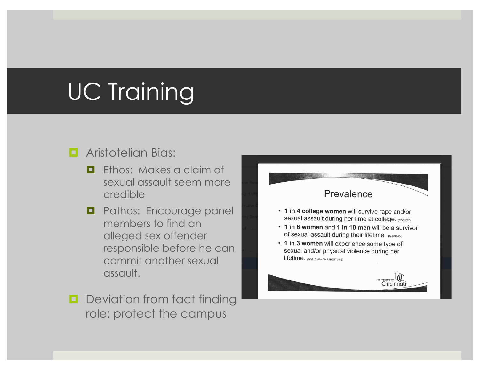# UC Training

#### **E** Aristotelian Bias:

- $\Box$  Ethos: Makes a claim of sexual assault seem more credible
- $\Box$  Pathos: Encourage panel members to find an alleged sex offender responsible before he can commit another sexual assault.
- $\Box$  Deviation from fact finding role: protect the campus

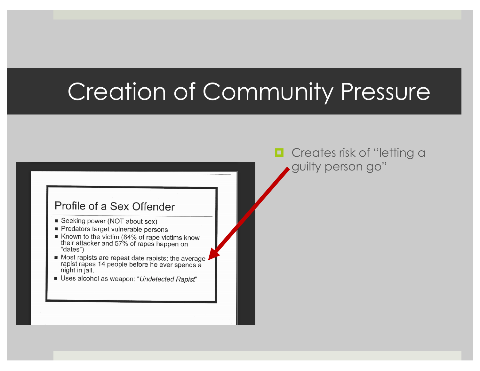## Creation of Community Pressure

#### Profile of a Sex Offender

- Seeking power (NOT about sex)
- Predators target vulnerable persons
- Known to the victim (84% of rape victims know their attacker and 57% of rapes happen on "dates")
- $\blacksquare$  Most rapists are repeat date rapists; the average  $\blacksquare$ rapist rapes 14 people before he ever spends a night in jail.
- Uses alcohol as weapon: "Undetected Rapist"

 $\blacksquare$  Creates risk of "letting a guilty person go"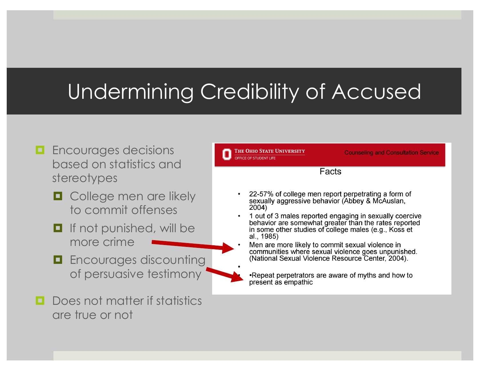#### Undermining Credibility of Accused

- **<u><b>E**</u> Encourages decisions based on statistics and stereotypes
	- $\Box$  College men are likely to commit offenses
	- $\blacksquare$  If not punished, will be more crime
	- $\blacksquare$  Encourages discounting of persuasive testimony
- 
- **<u>n</u>** Does not matter if statistics are true or not

THE OHIO STATE UNIVERSITY **Counseling and Consultation Service** OFFICE OF STUDENT LIFE Facts 22-57% of college men report perpetrating a form of sexually aggressive behavior (Abbey & McAuslan, 2004) 1 out of 3 males reported engaging in sexually coercive behavior are somewhat greater than the rates reported in some other studies of college males (e.g., Koss et al., 1985) Men are more likely to commit sexual violence in communities where sexual violence goes unpunished. (National Sexual Violence Resource Center, 2004). •Repeat perpetrators are aware of myths and how to present as empathic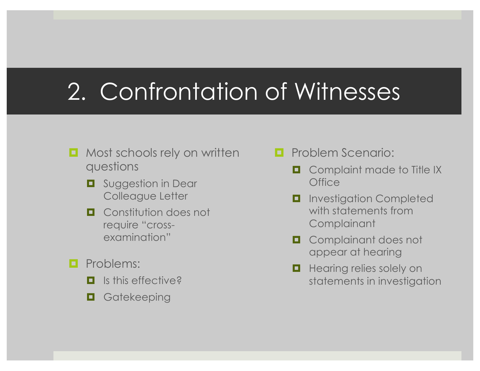## 2. Confrontation of Witnesses

- $\blacksquare$  Most schools rely on written questions
	- $\Box$  Suggestion in Dear Colleague Letter
	- $\Box$  Constitution does not require "crossexamination"
- $\blacksquare$  Problems:
	- $\blacksquare$  Is this effective?
	- $\blacksquare$  Gatekeeping
- $\blacksquare$  Problem Scenario:
	- $\Box$  Complaint made to Title IX **Office**
	- $\blacksquare$  Investigation Completed with statements from **Complainant**
	- $\Box$  Complainant does not appear at hearing
	- $\blacksquare$  Hearing relies solely on statements in investigation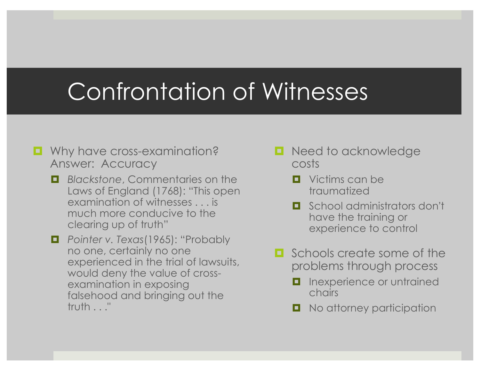## Confrontation of Witnesses

- Why have cross-examination? Answer: Accuracy
	- $\blacksquare$  *Blackstone, Commentaries on the* Laws of England (1768): "This open examination of witnesses . . . is much more conducive to the clearing up of truth"
	- ¤ *Pointer v. Texas*(1965): "Probably no one, certainly no one experienced in the trial of lawsuits, would deny the value of crossexamination in exposing falsehood and bringing out the truth . . ."
- Need to acknowledge costs
	- $\blacksquare$  Victims can be traumatized
	- $\blacksquare$  School administrators don't have the training or experience to control
- $\blacksquare$  Schools create some of the problems through process
	- Inexperience or untrained chairs
	- No attorney participation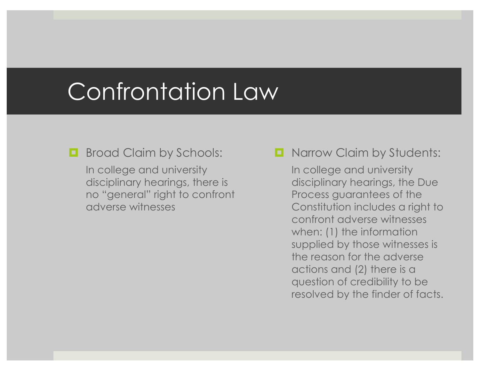### Confrontation Law

- **E** Broad Claim by Schools: In college and university disciplinary hearings, there is no "general" right to confront adverse witnesses
- $\blacksquare$  Narrow Claim by Students:

In college and university disciplinary hearings, the Due Process guarantees of the Constitution includes a right to confront adverse witnesses when: (1) the information supplied by those witnesses is the reason for the adverse actions and (2) there is a question of credibility to be resolved by the finder of facts.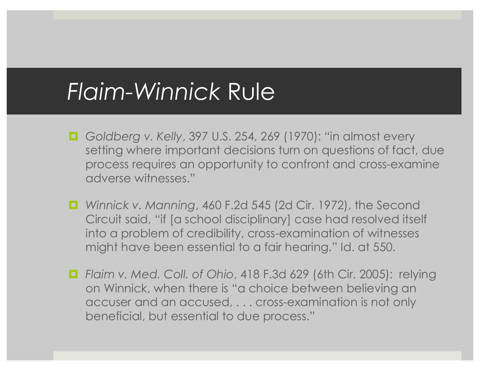#### *Flaim-Winnick* Rule

- Goldberg v. Kelly, 397 U.S. 254, 269 (1970): "in almost every setting where important decisions turn on questions of fact, due process requires an opportunity to confront and cross-examine adverse witnesses."
- *Winnick v. Manning, 460 F.2d 545 (2d Cir. 1972), the Second* Circuit said, "if [a school disciplinary] case had resolved itself into a problem of credibility, cross-examination of witnesses might have been essential to a fair hearing." Id. at 550.
- Flaim v. Med. Coll. of Ohio, 418 F.3d 629 (6th Cir. 2005): relying on Winnick, when there is "a choice between believing an accuser and an accused, . . . cross-examination is not only beneficial, but essential to due process."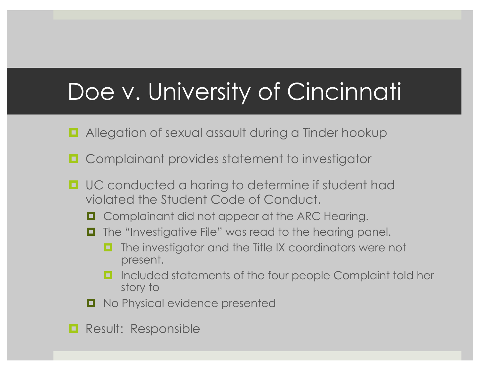## Doe v. University of Cincinnati

- $\blacksquare$  Allegation of sexual assault during a Tinder hookup
- Complainant provides statement to investigator
- UC conducted a haring to determine if student had violated the Student Code of Conduct.
	- $\Box$  Complainant did not appear at the ARC Hearing.
	- The "Investigative File" was read to the hearing panel.
		- The investigator and the Title IX coordinators were not present.
		- **□** Included statements of the four people Complaint told her story to
	- $\blacksquare$  No Physical evidence presented
- **E** Result: Responsible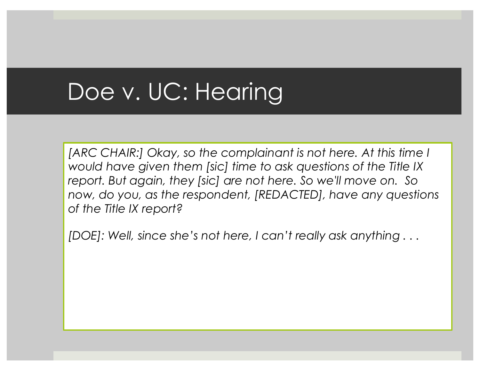### Doe v. UC: Hearing

[ARC CHAIR:] Okay, so the complainant is not here. At this time I *would have given them [sic] time to ask questions of the Title IX report. But again, they [sic] are not here. So we'll move on. So now, do you, as the respondent, [REDACTED], have any questions of the Title IX report?*

*[DOE]: Well, since she's not here, I can't really ask anything . . .*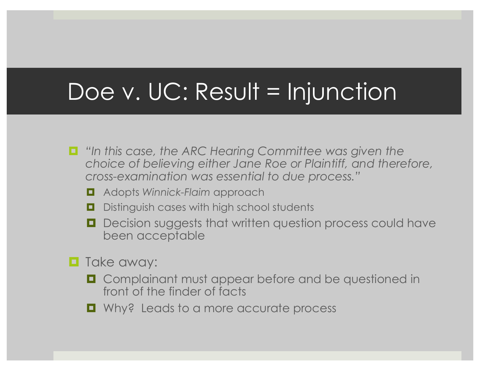### Doe v. UC: Result = Injunction

- ¤ *"In this case, the ARC Hearing Committee was given the choice of believing either Jane Roe or Plaintiff, and therefore, cross-examination was essential to due process."*
	- ¤ Adopts *Winnick-Flaim* approach
	- $\Box$  Distinguish cases with high school students
	- Decision suggests that written question process could have been acceptable
- $\blacksquare$  Take away:
	- Complainant must appear before and be questioned in front of the finder of facts
	- Why? Leads to a more accurate process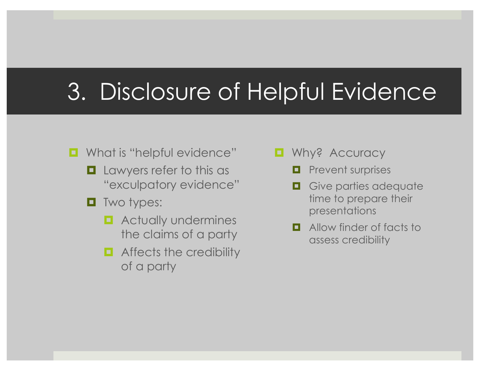## 3. Disclosure of Helpful Evidence

- What is "helpful evidence"
	- $\blacksquare$  Lawyers refer to this as "exculpatory evidence"
	- $\blacksquare$  Two types:
		- $\blacksquare$  Actually undermines the claims of a party
		- $\blacksquare$  Affects the credibility of a party
- $\blacksquare$  Why? Accuracy
	- $\blacksquare$  Prevent surprises
	- $\blacksquare$  Give parties adequate time to prepare their presentations
	- $\blacksquare$  Allow finder of facts to assess credibility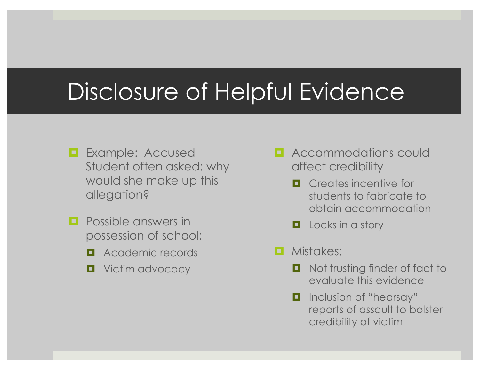### Disclosure of Helpful Evidence

- $\blacksquare$  Example: Accused Student often asked: why would she make up this allegation?
- $\blacksquare$  Possible answers in possession of school:
	- $\blacksquare$  Academic records
	- $\blacksquare$  Victim advocacy
- **E** Accommodations could affect credibility
	- $\Box$  Creates incentive for students to fabricate to obtain accommodation
	- $\Box$  Locks in a story
- $\blacksquare$  Mistakes:
	- Not trusting finder of fact to evaluate this evidence
	- $\blacksquare$  Inclusion of "hearsay" reports of assault to bolster credibility of victim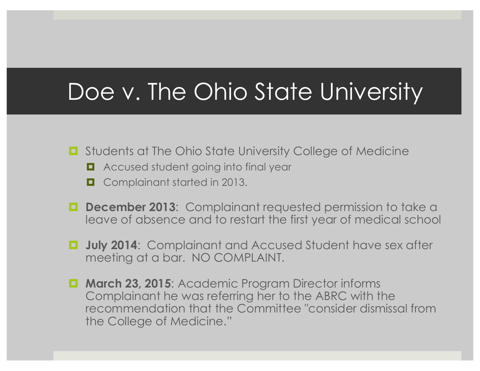### Doe v. The Ohio State University

- Students at The Ohio State University College of Medicine
	- Accused student going into final year
	- Complainant started in 2013.
- $\blacksquare$  **December 2013:** Complainant requested permission to take a leave of absence and to restart the first year of medical school
- $\blacksquare$  **July 2014**: Complainant and Accused Student have sex after meeting at a bar. NO COMPLAINT.
- $\blacksquare$  **March 23, 2015:** Academic Program Director informs Complainant he was referring her to the ABRC with the recommendation that the Committee "consider dismissal from the College of Medicine."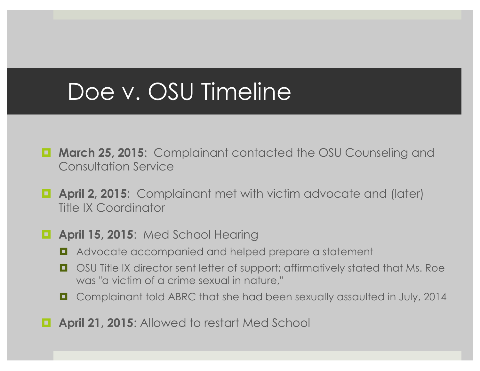### Doe v. OSU Timeline

- **March 25, 2015:** Complainant contacted the OSU Counseling and Consultation Service
- $\blacksquare$  **April 2, 2015:** Complainant met with victim advocate and (later) Title IX Coordinator

#### $\blacksquare$  **April 15, 2015:** Med School Hearing

- Advocate accompanied and helped prepare a statement
- OSU Title IX director sent letter of support; affirmatively stated that Ms. Roe was "a victim of a crime sexual in nature,"
- Complainant told ABRC that she had been sexually assaulted in July, 2014
- $\blacksquare$  **April 21, 2015:** Allowed to restart Med School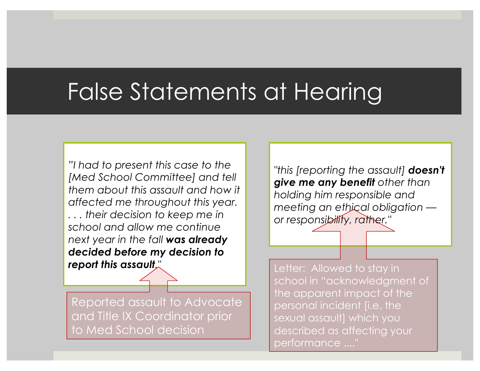## False Statements at Hearing

*"I had to present this case to the [Med School Committee] and tell them about this assault and how it affected me throughout this year. . . . their decision to keep me in school and allow me continue next year in the fall was already decided before my decision to report this assault."*

Reported assault to Advocate and Title IX Coordinator prior to Med School decision

*"this [reporting the assault] doesn't give me any benefit other than holding him responsible and meeting an ethical obligation or responsibility, rather."*

Letter: Allowed to stay in school in "acknowledgment of the apparent impact of the personal incident [i.e. the sexual assault] which you described as affecting your performance ...."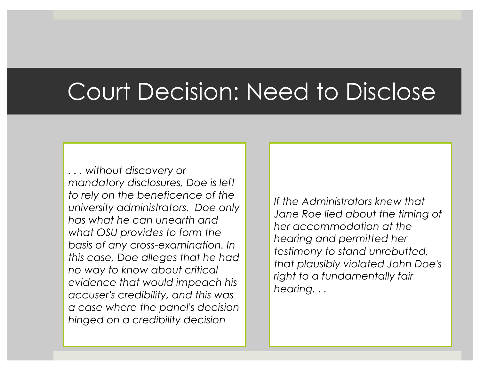### Court Decision: Need to Disclose

*. . . without discovery or mandatory disclosures, Doe is left to rely on the beneficence of the university administrators. Doe only has what he can unearth and what OSU provides to form the basis of any cross-examination. In this case, Doe alleges that he had no way to know about critical evidence that would impeach his accuser's credibility, and this was a case where the panel's decision hinged on a credibility decision*

*If the Administrators knew that Jane Roe lied about the timing of her accommodation at the hearing and permitted her testimony to stand unrebutted, that plausibly violated John Doe's right to a fundamentally fair hearing. . .*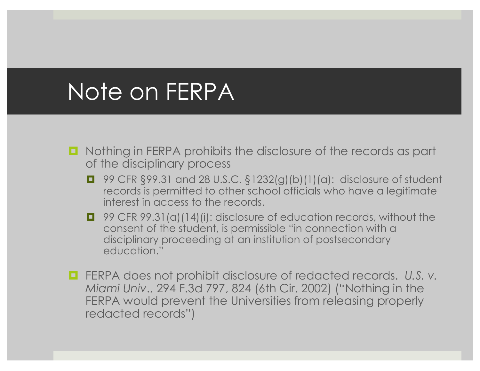#### Note on FERPA

- Nothing in FERPA prohibits the disclosure of the records as part of the disciplinary process
	- 99 CFR §99.31 and 28 U.S.C. §1232(g)(b)(1)(a): disclosure of student records is permitted to other school officials who have a legitimate interest in access to the records.
	- 99 CFR 99.31(a)(14)(i): disclosure of education records, without the consent of the student, is permissible "in connection with a disciplinary proceeding at an institution of postsecondary education."
- FERPA does not prohibit disclosure of redacted records. U.S. v. *Miami Univ*., 294 F.3d 797, 824 (6th Cir. 2002) ("Nothing in the FERPA would prevent the Universities from releasing properly redacted records")